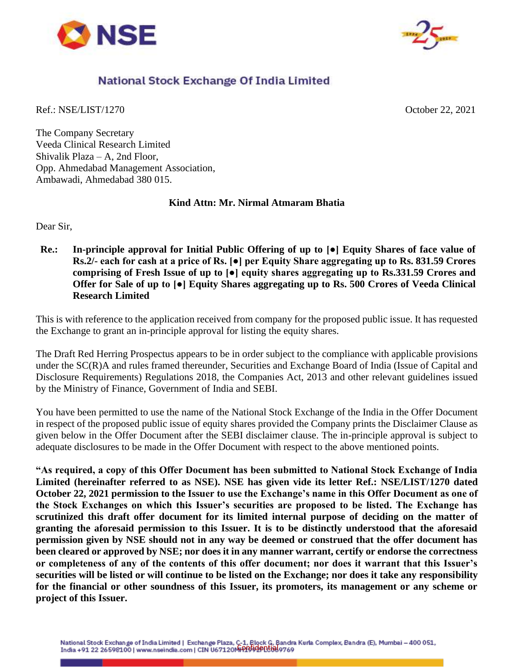



## National Stock Exchange Of India Limited

Ref.: NSE/LIST/1270 October 22, 2021

The Company Secretary Veeda Clinical Research Limited Shivalik Plaza – A, 2nd Floor, Opp. Ahmedabad Management Association, Ambawadi, Ahmedabad 380 015.

## **Kind Attn: Mr. Nirmal Atmaram Bhatia**

Dear Sir,

**Re.: In-principle approval for Initial Public Offering of up to [●] Equity Shares of face value of Rs.2/- each for cash at a price of Rs. [●] per Equity Share aggregating up to Rs. 831.59 Crores comprising of Fresh Issue of up to [●] equity shares aggregating up to Rs.331.59 Crores and Offer for Sale of up to [●] Equity Shares aggregating up to Rs. 500 Crores of Veeda Clinical Research Limited**

This is with reference to the application received from company for the proposed public issue. It has requested the Exchange to grant an in-principle approval for listing the equity shares.

The Draft Red Herring Prospectus appears to be in order subject to the compliance with applicable provisions under the SC(R)A and rules framed thereunder, Securities and Exchange Board of India (Issue of Capital and Disclosure Requirements) Regulations 2018, the Companies Act, 2013 and other relevant guidelines issued by the Ministry of Finance, Government of India and SEBI.

You have been permitted to use the name of the National Stock Exchange of the India in the Offer Document in respect of the proposed public issue of equity shares provided the Company prints the Disclaimer Clause as given below in the Offer Document after the SEBI disclaimer clause. The in-principle approval is subject to adequate disclosures to be made in the Offer Document with respect to the above mentioned points.

**"As required, a copy of this Offer Document has been submitted to National Stock Exchange of India Limited (hereinafter referred to as NSE). NSE has given vide its letter Ref.: NSE/LIST/1270 dated October 22, 2021 permission to the Issuer to use the Exchange's name in this Offer Document as one of the Stock Exchanges on which this Issuer's securities are proposed to be listed. The Exchange has scrutinized this draft offer document for its limited internal purpose of deciding on the matter of granting the aforesaid permission to this Issuer. It is to be distinctly understood that the aforesaid permission given by NSE should not in any way be deemed or construed that the offer document has been cleared or approved by NSE; nor does it in any manner warrant, certify or endorse the correctness or completeness of any of the contents of this offer document; nor does it warrant that this Issuer's securities will be listed or will continue to be listed on the Exchange; nor does it take any responsibility for the financial or other soundness of this Issuer, its promoters, its management or any scheme or project of this Issuer.**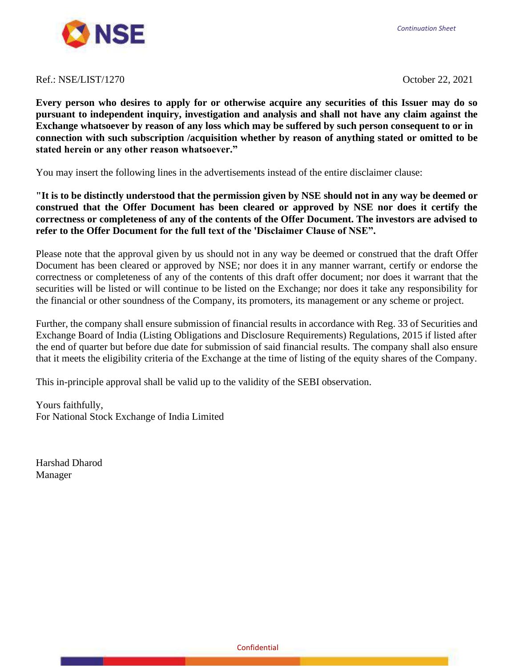*Continuation Sheet*



## Ref.: NSE/LIST/1270 October 22, 2021

**Every person who desires to apply for or otherwise acquire any securities of this Issuer may do so pursuant to independent inquiry, investigation and analysis and shall not have any claim against the Exchange whatsoever by reason of any loss which may be suffered by such person consequent to or in connection with such subscription /acquisition whether by reason of anything stated or omitted to be stated herein or any other reason whatsoever."**

You may insert the following lines in the advertisements instead of the entire disclaimer clause:

**"It is to be distinctly understood that the permission given by NSE should not in any way be deemed or construed that the Offer Document has been cleared or approved by NSE nor does it certify the correctness or completeness of any of the contents of the Offer Document. The investors are advised to refer to the Offer Document for the full text of the 'Disclaimer Clause of NSE".**

Please note that the approval given by us should not in any way be deemed or construed that the draft Offer Document has been cleared or approved by NSE; nor does it in any manner warrant, certify or endorse the correctness or completeness of any of the contents of this draft offer document; nor does it warrant that the securities will be listed or will continue to be listed on the Exchange; nor does it take any responsibility for the financial or other soundness of the Company, its promoters, its management or any scheme or project.

Further, the company shall ensure submission of financial results in accordance with Reg. 33 of Securities and Exchange Board of India (Listing Obligations and Disclosure Requirements) Regulations, 2015 if listed after the end of quarter but before due date for submission of said financial results. The company shall also ensure that it meets the eligibility criteria of the Exchange at the time of listing of the equity shares of the Company.

This in-principle approval shall be valid up to the validity of the SEBI observation.

Yours faithfully, For National Stock Exchange of India Limited

Harshad Dharod Manager